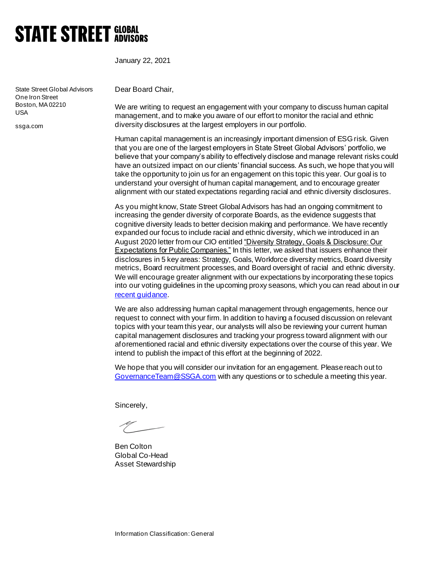## **STATE STREET GLOBAL**

January 22, 2021

State Street Global Advisors One Iron Street Boston, MA 02210 USA

ssga.com

Dear Board Chair,

We are writing to request an engagement with your company to discuss human capital management, and to make you aware of our effort to monitor the racial and ethnic diversity disclosures at the largest employers in our portfolio.

Human capital management is an increasingly important dimension of ESG risk. Given that you are one of the largest employers in State Street Global Advisors' portfolio, we believe that your company's ability to effectively disclose and manage relevant risks could have an outsized impact on our clients' financial success. As such, we hope that you will take the opportunity to join us for an engagement on this topic this year. Our goal is to understand your oversight of human capital management, and to encourage greater alignment with our stated expectations regarding racial and ethnic diversity disclosures.

As you might know, State Street Global Advisors has had an ongoing commitment to increasing the gender diversity of corporate Boards, as the evidence suggests that cognitive diversity leads to better decision making and performance. We have recently expanded our focus to include racial and ethnic diversity, which we introduced in an August 2020 letter from our CIO entitle[d "Diversity Strategy, Goals & Disclosure: Our](https://www.ssga.com/us/en/institutional/etfs/insights/diversity-strategy-goals-disclosure-our-expectations-for-public-companies)  [Expectations for Public Companies."](https://www.ssga.com/us/en/institutional/etfs/insights/diversity-strategy-goals-disclosure-our-expectations-for-public-companies) In this letter, we asked that issuers enhance their disclosures in 5 key areas: Strategy, Goals, Workforce diversity metrics, Board diversity metrics, Board recruitment processes, and Board oversight of racial and ethnic diversity. We will encourage greater alignment with our expectations by incorporating these topics into our voting guidelines in the upcoming proxy seasons, which you can read about in our recent quidance.

We are also addressing human capital management through engagements, hence our request to connect with your firm. In addition to having a focused discussion on relevant topics with your team this year, our analysts will also be reviewing your current human capital management disclosures and tracking your progress toward alignment with our aforementioned racial and ethnic diversity expectations over the course of this year. We intend to publish the impact of this effort at the beginning of 2022.

We hope that you will consider our invitation for an engagement. Please reach out to [GovernanceTeam@SSGA.com](mailto:GovernanceTeam@SSGA.com) with any questions or to schedule a meeting this year.

Sincerely,

Ben Colton Global Co-Head Asset Stewardship